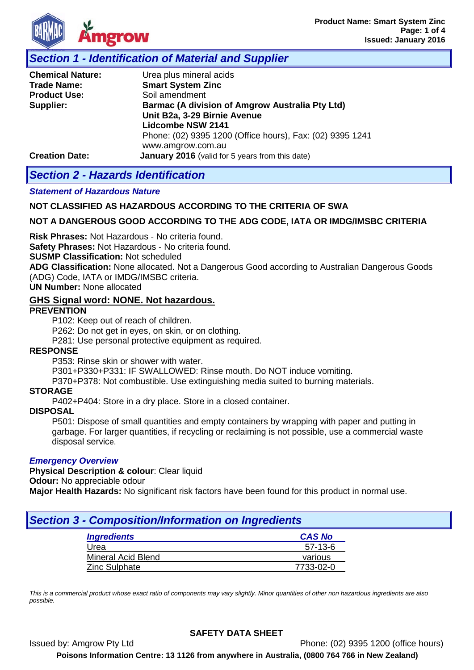

# *Section 1 - Identification of Material and Supplier*

| <b>Chemical Nature:</b> | Urea plus mineral acids                                   |  |  |
|-------------------------|-----------------------------------------------------------|--|--|
| <b>Trade Name:</b>      | <b>Smart System Zinc</b>                                  |  |  |
| <b>Product Use:</b>     | Soil amendment                                            |  |  |
| Supplier:               | <b>Barmac (A division of Amgrow Australia Pty Ltd)</b>    |  |  |
|                         | Unit B2a, 3-29 Birnie Avenue                              |  |  |
|                         | <b>Lidcombe NSW 2141</b>                                  |  |  |
|                         | Phone: (02) 9395 1200 (Office hours), Fax: (02) 9395 1241 |  |  |
|                         | www.amgrow.com.au                                         |  |  |
| <b>Creation Date:</b>   | <b>January 2016</b> (valid for 5 years from this date)    |  |  |

# *Section 2 - Hazards Identification*

#### *Statement of Hazardous Nature*

### **NOT CLASSIFIED AS HAZARDOUS ACCORDING TO THE CRITERIA OF SWA**

### **NOT A DANGEROUS GOOD ACCORDING TO THE ADG CODE, IATA OR IMDG/IMSBC CRITERIA**

**Risk Phrases:** Not Hazardous - No criteria found.

**Safety Phrases:** Not Hazardous - No criteria found.

**SUSMP Classification:** Not scheduled

**ADG Classification:** None allocated. Not a Dangerous Good according to Australian Dangerous Goods (ADG) Code, IATA or IMDG/IMSBC criteria.

**UN Number:** None allocated

#### **GHS Signal word: NONE. Not hazardous.**

#### **PREVENTION**

P102: Keep out of reach of children.

P262: Do not get in eyes, on skin, or on clothing.

P281: Use personal protective equipment as required.

#### **RESPONSE**

P353: Rinse skin or shower with water.

P301+P330+P331: IF SWALLOWED: Rinse mouth. Do NOT induce vomiting.

P370+P378: Not combustible. Use extinguishing media suited to burning materials.

#### **STORAGE**

P402+P404: Store in a dry place. Store in a closed container.

#### **DISPOSAL**

P501: Dispose of small quantities and empty containers by wrapping with paper and putting in garbage. For larger quantities, if recycling or reclaiming is not possible, use a commercial waste disposal service.

#### *Emergency Overview*

**Physical Description & colour**: Clear liquid

**Odour:** No appreciable odour

**Major Health Hazards:** No significant risk factors have been found for this product in normal use.

# *Section 3 - Composition/Information on Ingredients*

| <b>Ingredients</b>        | <b>CAS No</b> |
|---------------------------|---------------|
| Urea                      | $57-13-6$     |
| <b>Mineral Acid Blend</b> | various       |
| Zinc Sulphate             | 7733-02-0     |

*This is a commercial product whose exact ratio of components may vary slightly. Minor quantities of other non hazardous ingredients are also possible.*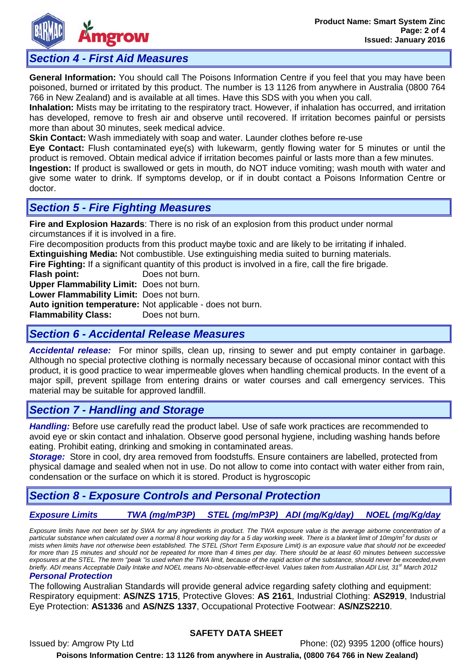

# *Section 4 - First Aid Measures*

**General Information:** You should call The Poisons Information Centre if you feel that you may have been poisoned, burned or irritated by this product. The number is 13 1126 from anywhere in Australia (0800 764 766 in New Zealand) and is available at all times. Have this SDS with you when you call.

**Inhalation:** Mists may be irritating to the respiratory tract. However, if inhalation has occurred, and irritation has developed, remove to fresh air and observe until recovered. If irritation becomes painful or persists more than about 30 minutes, seek medical advice.

**Skin Contact:** Wash immediately with soap and water. Launder clothes before re-use

**Eye Contact:** Flush contaminated eye(s) with lukewarm, gently flowing water for 5 minutes or until the product is removed. Obtain medical advice if irritation becomes painful or lasts more than a few minutes.

**Ingestion:** If product is swallowed or gets in mouth, do NOT induce vomiting; wash mouth with water and give some water to drink. If symptoms develop, or if in doubt contact a Poisons Information Centre or doctor.

# *Section 5 - Fire Fighting Measures*

**Fire and Explosion Hazards**: There is no risk of an explosion from this product under normal circumstances if it is involved in a fire.

Fire decomposition products from this product maybe toxic and are likely to be irritating if inhaled.

**Extinguishing Media:** Not combustible. Use extinguishing media suited to burning materials.

**Fire Fighting:** If a significant quantity of this product is involved in a fire, call the fire brigade.

**Flash point:** Does not burn.

**Upper Flammability Limit:** Does not burn.

**Lower Flammability Limit:** Does not burn.

**Auto ignition temperature:** Not applicable - does not burn.

**Flammability Class:** 

### *Section 6 - Accidental Release Measures*

*Accidental release:* For minor spills, clean up, rinsing to sewer and put empty container in garbage. Although no special protective clothing is normally necessary because of occasional minor contact with this product, it is good practice to wear impermeable gloves when handling chemical products. In the event of a major spill, prevent spillage from entering drains or water courses and call emergency services. This material may be suitable for approved landfill.

# *Section 7 - Handling and Storage*

*Handling:* Before use carefully read the product label. Use of safe work practices are recommended to avoid eye or skin contact and inhalation. Observe good personal hygiene, including washing hands before eating. Prohibit eating, drinking and smoking in contaminated areas.

**Storage:** Store in cool, dry area removed from foodstuffs. Ensure containers are labelled, protected from physical damage and sealed when not in use. Do not allow to come into contact with water either from rain, condensation or the surface on which it is stored. Product is hygroscopic

# *Section 8 - Exposure Controls and Personal Protection*

# *Exposure Limits TWA (mg/mP3P) STEL (mg/mP3P) ADI (mg/Kg/day) NOEL (mg/Kg/day*

*Exposure limits have not been set by SWA for any ingredients in product. The TWA exposure value is the average airborne concentration of a particular substance when calculated over a normal 8 hour working day for a 5 day working week. There is a blanket limit of 10mg/m3 for dusts or mists when limits have not otherwise been established. The STEL (Short Term Exposure Limit) is an exposure value that should not be exceeded for more than 15 minutes and should not be repeated for more than 4 times per day. There should be at least 60 minutes between successive exposures at the STEL. The term "peak "is used when the TWA limit, because of the rapid action of the substance, should never be exceeded,even briefly. ADI means Acceptable Daily Intake and NOEL means No-observable-effect-level. Values taken from Australian ADI List, 31<sup>st</sup> March 2012* 

#### *Personal Protection*

The following Australian Standards will provide general advice regarding safety clothing and equipment: Respiratory equipment: **AS/NZS 1715**, Protective Gloves: **AS 2161**, Industrial Clothing: **AS2919**, Industrial Eye Protection: **AS1336** and **AS/NZS 1337**, Occupational Protective Footwear: **AS/NZS2210**.

### **SAFETY DATA SHEET**

Issued by: Amgrow Pty Ltd Phone: (02) 9395 1200 (office hours) **Poisons Information Centre: 13 1126 from anywhere in Australia, (0800 764 766 in New Zealand)**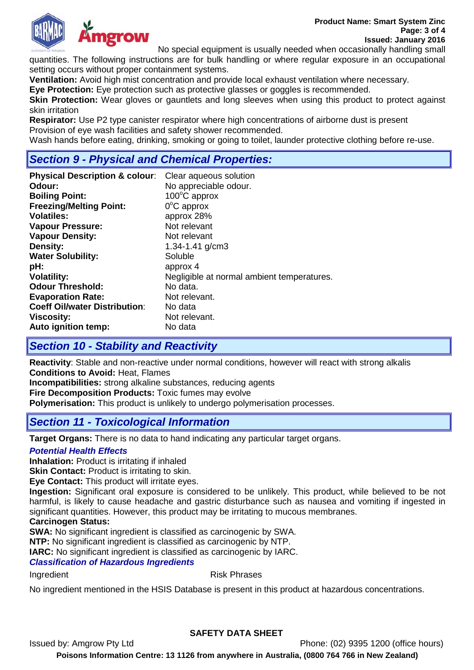



No special equipment is usually needed when occasionally handling small

quantities. The following instructions are for bulk handling or where regular exposure in an occupational setting occurs without proper containment systems.

**Ventilation:** Avoid high mist concentration and provide local exhaust ventilation where necessary.

**Eye Protection:** Eye protection such as protective glasses or goggles is recommended.

**Skin Protection:** Wear gloves or gauntlets and long sleeves when using this product to protect against skin irritation

**Respirator:** Use P2 type canister respirator where high concentrations of airborne dust is present Provision of eye wash facilities and safety shower recommended.

Wash hands before eating, drinking, smoking or going to toilet, launder protective clothing before re-use.

## *Section 9 - Physical and Chemical Properties:*

| <b>Physical Description &amp; colour:</b> | Clear aqueous solution                     |
|-------------------------------------------|--------------------------------------------|
| Odour:                                    | No appreciable odour.                      |
| <b>Boiling Point:</b>                     | $100^{\circ}$ C approx                     |
| <b>Freezing/Melting Point:</b>            | $0^{\circ}$ C approx                       |
| <b>Volatiles:</b>                         | approx 28%                                 |
| <b>Vapour Pressure:</b>                   | Not relevant                               |
| <b>Vapour Density:</b>                    | Not relevant                               |
| Density:                                  | 1.34-1.41 $g/cm3$                          |
| <b>Water Solubility:</b>                  | Soluble                                    |
| pH:                                       | approx 4                                   |
| <b>Volatility:</b>                        | Negligible at normal ambient temperatures. |
| <b>Odour Threshold:</b>                   | No data.                                   |
| <b>Evaporation Rate:</b>                  | Not relevant.                              |
| <b>Coeff Oil/water Distribution:</b>      | No data                                    |
| <b>Viscosity:</b>                         | Not relevant.                              |
| Auto ignition temp:                       | No data                                    |

# *Section 10 - Stability and Reactivity*

**Reactivity**: Stable and non-reactive under normal conditions, however will react with strong alkalis **Conditions to Avoid:** Heat, Flames

**Incompatibilities:** strong alkaline substances, reducing agents **Fire Decomposition Products:** Toxic fumes may evolve

**Polymerisation:** This product is unlikely to undergo polymerisation processes.

### *Section 11 - Toxicological Information*

**Target Organs:** There is no data to hand indicating any particular target organs.

#### *Potential Health Effects*

**Inhalation:** Product is irritating if inhaled

**Skin Contact:** Product is irritating to skin.

**Eye Contact:** This product will irritate eyes.

**Ingestion:** Significant oral exposure is considered to be unlikely. This product, while believed to be not harmful, is likely to cause headache and gastric disturbance such as nausea and vomiting if ingested in significant quantities. However, this product may be irritating to mucous membranes.

#### **Carcinogen Status:**

**SWA:** No significant ingredient is classified as carcinogenic by SWA.

**NTP:** No significant ingredient is classified as carcinogenic by NTP.

**IARC:** No significant ingredient is classified as carcinogenic by IARC.

#### *Classification of Hazardous Ingredients*

Ingredient **Risk Phrases** 

No ingredient mentioned in the HSIS Database is present in this product at hazardous concentrations.

### **SAFETY DATA SHEET**

Issued by: Amgrow Pty Ltd Phone: (02) 9395 1200 (office hours) **Poisons Information Centre: 13 1126 from anywhere in Australia, (0800 764 766 in New Zealand)**